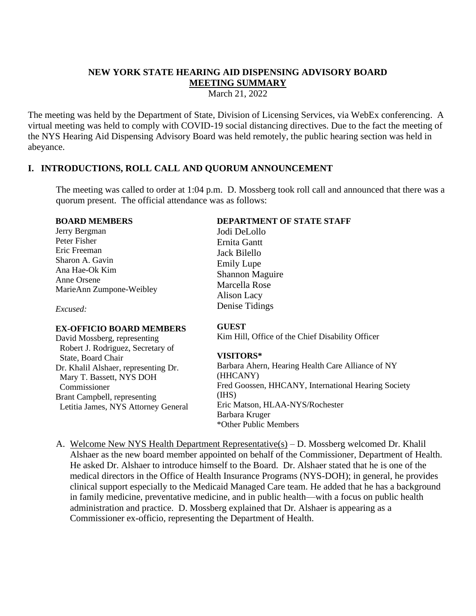# **NEW YORK STATE HEARING AID DISPENSING ADVISORY BOARD MEETING SUMMARY**

March 21, 2022

The meeting was held by the Department of State, Division of Licensing Services, via WebEx conferencing. A virtual meeting was held to comply with COVID-19 social distancing directives. Due to the fact the meeting of the NYS Hearing Aid Dispensing Advisory Board was held remotely, the public hearing section was held in abeyance.

## **I. INTRODUCTIONS, ROLL CALL AND QUORUM ANNOUNCEMENT**

The meeting was called to order at 1:04 p.m. D. Mossberg took roll call and announced that there was a quorum present. The official attendance was as follows:

#### **BOARD MEMBERS**

Jerry Bergman Peter Fisher Eric Freeman Sharon A. Gavin Ana Hae-Ok Kim Anne Orsene MarieAnn Zumpone-Weibley

*Excused:*

### **EX-OFFICIO BOARD MEMBERS**

David Mossberg, representing Robert J. Rodriguez, Secretary of State, Board Chair Dr. Khalil Alshaer, representing Dr. Mary T. Bassett, NYS DOH Commissioner Brant Campbell, representing Letitia James, NYS Attorney General

### **DEPARTMENT OF STATE STAFF**

Jodi DeLollo Ernita Gantt Jack Bilello Emily Lupe Shannon Maguire Marcella Rose Alison Lacy Denise Tidings

## **GUEST**

Kim Hill, Office of the Chief Disability Officer

### **VISITORS\***

Barbara Ahern, Hearing Health Care Alliance of NY (HHCANY) Fred Goossen, HHCANY, International Hearing Society (IHS) Eric Matson, HLAA-NYS/Rochester Barbara Kruger \*Other Public Members

A. Welcome New NYS Health Department Representative(s) – D. Mossberg welcomed Dr. Khalil Alshaer as the new board member appointed on behalf of the Commissioner, Department of Health. He asked Dr. Alshaer to introduce himself to the Board. Dr. Alshaer stated that he is one of the medical directors in the Office of Health Insurance Programs (NYS-DOH); in general, he provides clinical support especially to the Medicaid Managed Care team. He added that he has a background in family medicine, preventative medicine, and in public health—with a focus on public health administration and practice. D. Mossberg explained that Dr. Alshaer is appearing as a Commissioner ex-officio, representing the Department of Health.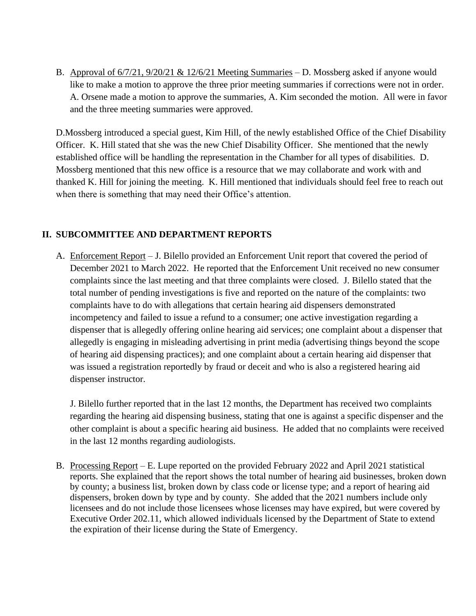B. Approval of 6/7/21, 9/20/21 & 12/6/21 Meeting Summaries – D. Mossberg asked if anyone would like to make a motion to approve the three prior meeting summaries if corrections were not in order. A. Orsene made a motion to approve the summaries, A. Kim seconded the motion. All were in favor and the three meeting summaries were approved.

D.Mossberg introduced a special guest, Kim Hill, of the newly established Office of the Chief Disability Officer. K. Hill stated that she was the new Chief Disability Officer. She mentioned that the newly established office will be handling the representation in the Chamber for all types of disabilities. D. Mossberg mentioned that this new office is a resource that we may collaborate and work with and thanked K. Hill for joining the meeting. K. Hill mentioned that individuals should feel free to reach out when there is something that may need their Office's attention.

## **II. SUBCOMMITTEE AND DEPARTMENT REPORTS**

A. Enforcement Report – J. Bilello provided an Enforcement Unit report that covered the period of December 2021 to March 2022. He reported that the Enforcement Unit received no new consumer complaints since the last meeting and that three complaints were closed. J. Bilello stated that the total number of pending investigations is five and reported on the nature of the complaints: two complaints have to do with allegations that certain hearing aid dispensers demonstrated incompetency and failed to issue a refund to a consumer; one active investigation regarding a dispenser that is allegedly offering online hearing aid services; one complaint about a dispenser that allegedly is engaging in misleading advertising in print media (advertising things beyond the scope of hearing aid dispensing practices); and one complaint about a certain hearing aid dispenser that was issued a registration reportedly by fraud or deceit and who is also a registered hearing aid dispenser instructor.

J. Bilello further reported that in the last 12 months, the Department has received two complaints regarding the hearing aid dispensing business, stating that one is against a specific dispenser and the other complaint is about a specific hearing aid business. He added that no complaints were received in the last 12 months regarding audiologists.

B. Processing Report – E. Lupe reported on the provided February 2022 and April 2021 statistical reports. She explained that the report shows the total number of hearing aid businesses, broken down by county; a business list, broken down by class code or license type; and a report of hearing aid dispensers, broken down by type and by county. She added that the 2021 numbers include only licensees and do not include those licensees whose licenses may have expired, but were covered by Executive Order 202.11, which allowed individuals licensed by the Department of State to extend the expiration of their license during the State of Emergency.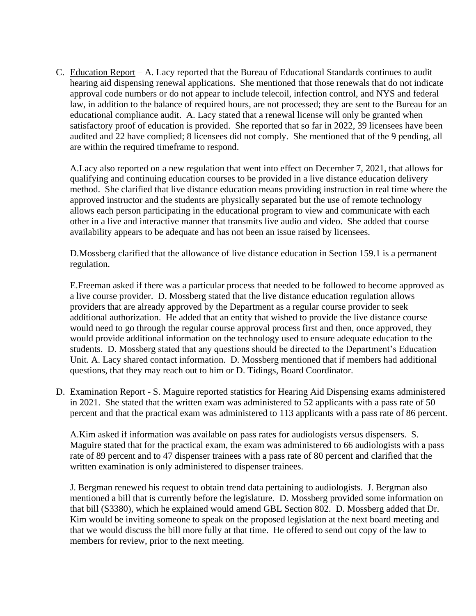C. Education Report – A. Lacy reported that the Bureau of Educational Standards continues to audit hearing aid dispensing renewal applications. She mentioned that those renewals that do not indicate approval code numbers or do not appear to include telecoil, infection control, and NYS and federal law, in addition to the balance of required hours, are not processed; they are sent to the Bureau for an educational compliance audit. A. Lacy stated that a renewal license will only be granted when satisfactory proof of education is provided. She reported that so far in 2022, 39 licensees have been audited and 22 have complied; 8 licensees did not comply. She mentioned that of the 9 pending, all are within the required timeframe to respond.

A.Lacy also reported on a new regulation that went into effect on December 7, 2021, that allows for qualifying and continuing education courses to be provided in a live distance education delivery method. She clarified that live distance education means providing instruction in real time where the approved instructor and the students are physically separated but the use of remote technology allows each person participating in the educational program to view and communicate with each other in a live and interactive manner that transmits live audio and video. She added that course availability appears to be adequate and has not been an issue raised by licensees.

D.Mossberg clarified that the allowance of live distance education in Section 159.1 is a permanent regulation.

E.Freeman asked if there was a particular process that needed to be followed to become approved as a live course provider. D. Mossberg stated that the live distance education regulation allows providers that are already approved by the Department as a regular course provider to seek additional authorization. He added that an entity that wished to provide the live distance course would need to go through the regular course approval process first and then, once approved, they would provide additional information on the technology used to ensure adequate education to the students. D. Mossberg stated that any questions should be directed to the Department's Education Unit. A. Lacy shared contact information. D. Mossberg mentioned that if members had additional questions, that they may reach out to him or D. Tidings, Board Coordinator.

D. Examination Report - S. Maguire reported statistics for Hearing Aid Dispensing exams administered in 2021. She stated that the written exam was administered to 52 applicants with a pass rate of 50 percent and that the practical exam was administered to 113 applicants with a pass rate of 86 percent.

A.Kim asked if information was available on pass rates for audiologists versus dispensers. S. Maguire stated that for the practical exam, the exam was administered to 66 audiologists with a pass rate of 89 percent and to 47 dispenser trainees with a pass rate of 80 percent and clarified that the written examination is only administered to dispenser trainees.

J. Bergman renewed his request to obtain trend data pertaining to audiologists. J. Bergman also mentioned a bill that is currently before the legislature. D. Mossberg provided some information on that bill (S3380), which he explained would amend GBL Section 802. D. Mossberg added that Dr. Kim would be inviting someone to speak on the proposed legislation at the next board meeting and that we would discuss the bill more fully at that time. He offered to send out copy of the law to members for review, prior to the next meeting.